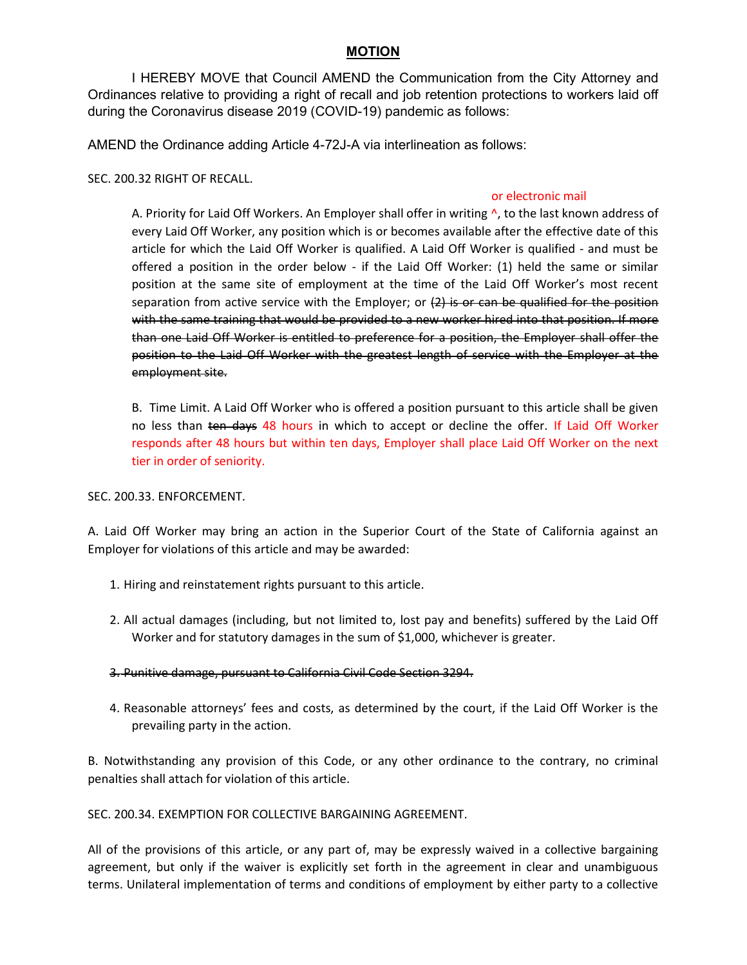## MOTION

 I HEREBY MOVE that Council AMEND the Communication from the City Attorney and Ordinances relative to providing a right of recall and job retention protections to workers laid off during the Coronavirus disease 2019 (COVID-19) pandemic as follows:

AMEND the Ordinance adding Article 4-72J-A via interlineation as follows:

SEC. 200.32 RIGHT OF RECALL.

## or electronic mail

A. Priority for Laid Off Workers. An Employer shall offer in writing  $\lambda$ , to the last known address of every Laid Off Worker, any position which is or becomes available after the effective date of this article for which the Laid Off Worker is qualified. A Laid Off Worker is qualified - and must be offered a position in the order below - if the Laid Off Worker: (1) held the same or similar position at the same site of employment at the time of the Laid Off Worker's most recent separation from active service with the Employer; or  $(2)$  is or can be qualified for the position with the same training that would be provided to a new worker hired into that position. If more than one Laid Off Worker is entitled to preference for a position, the Employer shall offer the position to the Laid Off Worker with the greatest length of service with the Employer at the employment site.

B. Time Limit. A Laid Off Worker who is offered a position pursuant to this article shall be given no less than ten days 48 hours in which to accept or decline the offer. If Laid Off Worker responds after 48 hours but within ten days, Employer shall place Laid Off Worker on the next tier in order of seniority.

SEC. 200.33. ENFORCEMENT.

A. Laid Off Worker may bring an action in the Superior Court of the State of California against an Employer for violations of this article and may be awarded:

- 1. Hiring and reinstatement rights pursuant to this article.
- 2. All actual damages (including, but not limited to, lost pay and benefits) suffered by the Laid Off Worker and for statutory damages in the sum of \$1,000, whichever is greater.
- 3. Punitive damage, pursuant to California Civil Code Section 3294.
- 4. Reasonable attorneys' fees and costs, as determined by the court, if the Laid Off Worker is the prevailing party in the action.

B. Notwithstanding any provision of this Code, or any other ordinance to the contrary, no criminal penalties shall attach for violation of this article.

SEC. 200.34. EXEMPTION FOR COLLECTIVE BARGAINING AGREEMENT.

All of the provisions of this article, or any part of, may be expressly waived in a collective bargaining agreement, but only if the waiver is explicitly set forth in the agreement in clear and unambiguous terms. Unilateral implementation of terms and conditions of employment by either party to a collective